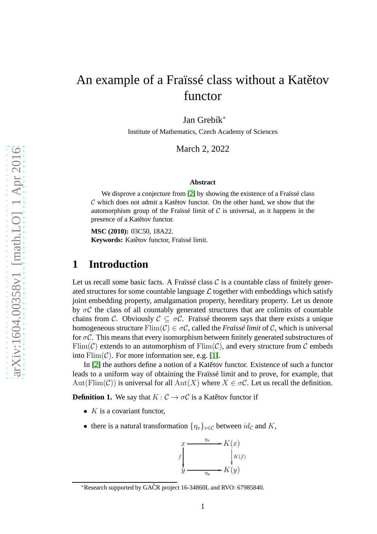# An example of a Fraïssé class without a Katětov functor

Jan Grebík<sup>∗</sup>

Institute of Mathematics, Czech Academy of Sciences

March 2, 2022

#### **Abstract**

We disprove a conjecture from [\[2\]](#page-5-0) by showing the existence of a Fraïssé class  $C$  which does not admit a Katerov functor. On the other hand, we show that the automorphism group of the Fraïssé limit of  $C$  is universal, as it happens in the presence of a Katětov functor.

**MSC (2010):** 03C50, 18A22. Keywords: Katětov functor, Fraïssé limit.

## **1 Introduction**

Let us recall some basic facts. A Fraïssé class  $C$  is a countable class of finitely generated structures for some countable language  $\mathcal L$  together with embeddings which satisfy joint embedding property, amalgamation property, hereditary property. Let us denote by  $\sigma C$  the class of all countably generated structures that are colimits of countable chains from C. Obviously  $\mathcal{C} \subset \sigma\mathcal{C}$ . Fraïssé theorem says that there exists a unique homogeneous structure  $\text{Elim}(\mathcal{C}) \in \sigma\mathcal{C}$ , called the *Fraïssé limit* of  $\mathcal{C}$ , which is universal for  $\sigma C$ . This means that every isomorphism between finitely generated substructures of Flim(C) extends to an automorphism of Flim(C), and every structure from C embeds into  $\text{Elim}(\mathcal{C})$ . For more information see, e.g. [\[1\]](#page-5-1).

In  $[2]$  the authors define a notion of a Kategov functor. Existence of such a functor leads to a uniform way of obtaining the Fraïssé limit and to prove, for example, that Aut(Flim(C)) is universal for all Aut(X) where  $X \in \sigma C$ . Let us recall the definition.

**Definition 1.** We say that  $K: \mathcal{C} \to \sigma\mathcal{C}$  is a Katerov functor if

- $K$  is a covariant functor,
- there is a natural transformation  $\{\eta_x\}_{x\in\mathcal{C}}$  between  $id_{\mathcal{C}}$  and K,



<sup>∗</sup>Research supported by GACR project 16-34860L and RVO: 67985840. ˇ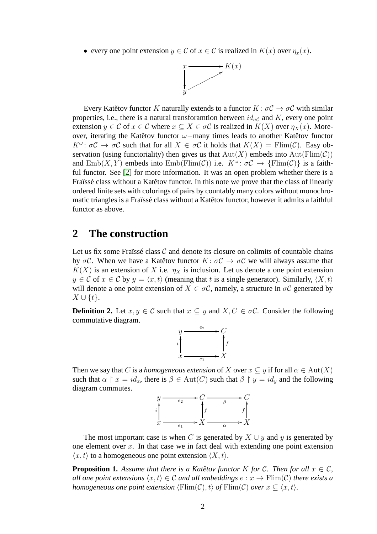• every one point extension  $y \in \mathcal{C}$  of  $x \in \mathcal{C}$  is realized in  $K(x)$  over  $\eta_x(x)$ .



Every Katětov functor K naturally extends to a functor  $K: \sigma \mathcal{C} \to \sigma \mathcal{C}$  with similar properties, i.e., there is a natural transforamtion between  $id_{\sigma\mathcal{C}}$  and K, every one point extension  $y \in \mathcal{C}$  of  $x \in \mathcal{C}$  where  $x \subseteq X \in \sigma \mathcal{C}$  is realized in  $K(X)$  over  $\eta_X(x)$ . Moreover, iterating the Katětov functor  $\omega$ -many times leads to another Katětov functor  $K^{\omega}$ :  $\sigma \mathcal{C} \to \sigma \mathcal{C}$  such that for all  $X \in \sigma \mathcal{C}$  it holds that  $K(X) = \text{Flim}(\mathcal{C})$ . Easy observation (using functoriality) then gives us that  $Aut(X)$  embeds into  $Aut(Fin(\mathcal{C}))$ and  $\text{Emb}(X, Y)$  embeds into  $\text{Emb}(\text{Elim}(\mathcal{C}))$  i.e.  $K^{\omega} \colon \sigma\mathcal{C} \to \{\text{Film}(\mathcal{C})\}$  is a faithful functor. See [\[2\]](#page-5-0) for more information. It was an open problem whether there is a Fraïssé class without a Katětov functor. In this note we prove that the class of linearly ordered finite sets with colorings of pairs by countably many colors without monochromatic triangles is a Fraïssé class without a Katětov functor, however it admits a faithful functor as above.

#### **2 The construction**

Let us fix some Fraïssé class  $C$  and denote its closure on colimits of countable chains by  $\sigma C$ . When we have a Katetov functor  $K: \sigma C \to \sigma C$  we will always assume that  $K(X)$  is an extension of X i.e.  $\eta_X$  is inclusion. Let us denote a one point extension  $y \in \mathcal{C}$  of  $x \in \mathcal{C}$  by  $y = \langle x, t \rangle$  (meaning that t is a single generator). Similarly,  $\langle X, t \rangle$ will denote a one point extension of  $X \in \sigma C$ , namely, a structure in  $\sigma C$  generated by  $X \cup \{t\}.$ 

**Definition 2.** Let  $x, y \in \mathcal{C}$  such that  $x \subseteq y$  and  $X, C \in \sigma \mathcal{C}$ . Consider the following commutative diagram.



Then we say that C is a *homogeneous extension* of X over  $x \subseteq y$  if for all  $\alpha \in Aut(X)$ such that  $\alpha \restriction x = id_x$ , there is  $\beta \in Aut(C)$  such that  $\beta \restriction y = id_y$  and the following diagram commutes.



The most important case is when C is generated by  $X \cup y$  and y is generated by one element over x. In that case we in fact deal with extending one point extension  $\langle x, t \rangle$  to a homogeneous one point extension  $\langle X, t \rangle$ .

**Proposition 1.** Assume that there is a Katětov functor K for C. Then for all  $x \in \mathcal{C}$ , *all one point extensions*  $\langle x, t \rangle \in C$  *and all embeddings*  $e : x \to \text{Elim}(C)$  *there exists a homogeneous one point extension*  $\langle \text{Elim}(C), t \rangle$  *of*  $\text{Elim}(C)$  *over*  $x \subseteq \langle x, t \rangle$ .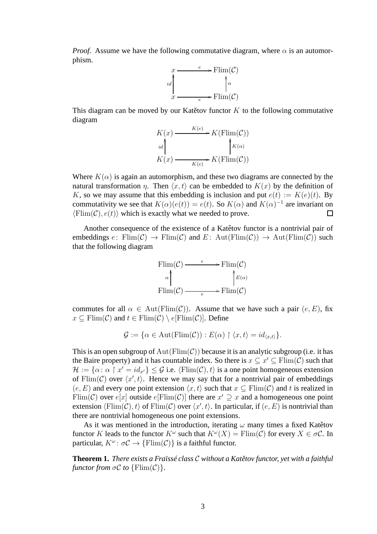*Proof.* Assume we have the following commutative diagram, where  $\alpha$  is an automorphism.



This diagram can be moved by our Katetov functor  $K$  to the following commutative diagram

| K(x) | K(e)<br>$\rightarrow K(\text{Elim}(\mathcal{C}))$ |
|------|---------------------------------------------------|
| id   | $K(\alpha)$                                       |
| K(x) | $\ast K(\text{Elim}(\mathcal{C}))$<br>K(e)        |

Where  $K(\alpha)$  is again an automorphism, and these two diagrams are connected by the natural transformation  $\eta$ . Then  $\langle x, t \rangle$  can be embedded to  $K(x)$  by the definition of K, so we may assume that this embedding is inclusion and put  $e(t) := K(e)(t)$ . By commutativity we see that  $K(\alpha)(e(t)) = e(t)$ . So  $K(\alpha)$  and  $K(\alpha)^{-1}$  are invariant on  $\langle \text{Flim}(\mathcal{C}), e(t) \rangle$  which is exactly what we needed to prove.  $\Box$ 

Another consequence of the existence of a Katetov functor is a nontrivial pair of embeddings  $e: \text{Elim}(\mathcal{C}) \to \text{Elim}(\mathcal{C})$  and  $E: \text{Aut}(\text{Elim}(\mathcal{C})) \to \text{Aut}(\text{Elim}(\mathcal{C}))$  such that the following diagram



commutes for all  $\alpha \in Aut(Flim(\mathcal{C}))$ . Assume that we have such a pair  $(e, E)$ , fix  $x \subseteq \text{Elim}(\mathcal{C})$  and  $t \in \text{Elim}(\mathcal{C}) \setminus e[\text{Elim}(\mathcal{C})]$ . Define

$$
\mathcal{G} := \{ \alpha \in \text{Aut}(\text{Flim}(\mathcal{C})) : E(\alpha) \upharpoonright \langle x, t \rangle = id_{\langle x, t \rangle} \}.
$$

This is an open subgroup of  $Aut(Fin(\mathcal{C}))$  because it is an analytic subgroup (i.e. it has the Baire property) and it has countable index. So there is  $x \subseteq x' \subseteq \text{Flim}(\mathcal{C})$  such that  $\mathcal{H} := \{\alpha \colon \alpha \restriction x' = id_{x'}\} \leq \mathcal{G}$  i.e.  $\langle \text{Flim}(\mathcal{C}), t \rangle$  is a one point homogeneous extension of Flim(C) over  $\langle x', t \rangle$ . Hence we may say that for a nontrivial pair of embeddings  $(e, E)$  and every one point extension  $\langle x, t \rangle$  such that  $x \subseteq \text{Elim}(\mathcal{C})$  and t is realized in Flim(C) over  $e[x]$  outside  $e[{\rm Film}(\mathcal{C})]$  there are  $x' \supseteq x$  and a homogeneous one point extension  $\langle \text{Elim}(C), t \rangle$  of  $\text{Elim}(C)$  over  $\langle x', t \rangle$ . In particular, if  $(e, E)$  is nontrivial than there are nontrivial homogeneous one point extensions.

As it was mentioned in the introduction, iterating  $\omega$  many times a fixed Katetov functor K leads to the functor  $K^{\omega}$  such that  $K^{\omega}(X) = \text{Flim}(\mathcal{C})$  for every  $X \in \sigma\mathcal{C}$ . In particular,  $K^{\omega}$ :  $\sigma \mathcal{C} \rightarrow \{ \mathrm{Elim}(\mathcal{C}) \}$  is a faithful functor.

<span id="page-2-0"></span>**Theorem 1.** *There exists a Fraïssé class C without a Katětov functor, yet with a faithful functor from*  $\sigma\mathcal{C}$  *to*  $\{\text{Flim}(\mathcal{C})\}.$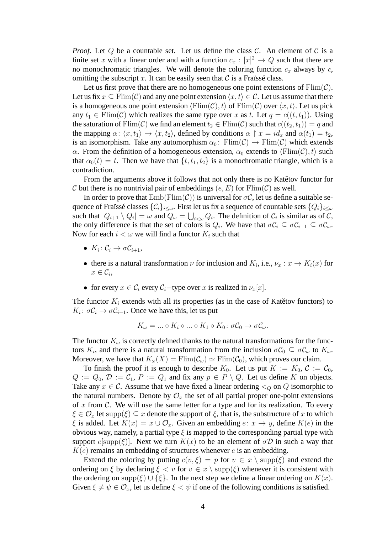*Proof.* Let  $Q$  be a countable set. Let us define the class  $C$ . An element of  $C$  is a finite set x with a linear order and with a function  $c_x : [x]^2 \to Q$  such that there are no monochromatic triangles. We will denote the coloring function  $c_x$  always by  $c$ , omitting the subscript x. It can be easily seen that  $\mathcal C$  is a Fraïssé class.

Let us first prove that there are no homogeneous one point extensions of  $\text{Elim}(\mathcal{C})$ . Let us fix  $x \subseteq \text{Elim}(\mathcal{C})$  and any one point extension  $\langle x, t \rangle \in \mathcal{C}$ . Let us assume that there is a homogeneous one point extension  $\langle \text{Elim}(\mathcal{C}), t \rangle$  of  $\text{Elim}(\mathcal{C})$  over  $\langle x, t \rangle$ . Let us pick any  $t_1 \in \text{Elim}(\mathcal{C})$  which realizes the same type over x as t. Let  $q = c((t, t_1))$ . Using the saturation of Flim(C) we find an element  $t_2 \in \text{Elim}(\mathcal{C})$  such that  $c((t_2, t_1)) = q$  and the mapping  $\alpha: \langle x, t_1 \rangle \to \langle x, t_2 \rangle$ , defined by conditions  $\alpha \restriction x = id_x$  and  $\alpha(t_1) = t_2$ , is an isomorphism. Take any automorphism  $\alpha_0$ : Flim(C)  $\rightarrow$  Flim(C) which extends  $\alpha$ . From the definition of a homogeneous extension,  $\alpha_0$  extends to  $\langle \text{Flim}(\mathcal{C}), t \rangle$  such that  $\alpha_0(t) = t$ . Then we have that  $\{t, t_1, t_2\}$  is a monochromatic triangle, which is a contradiction.

From the arguments above it follows that not only there is no Kategov functor for C but there is no nontrivial pair of embeddings  $(e, E)$  for  $\text{Elim}(\mathcal{C})$  as well.

In order to prove that  $\text{Emb}(\text{Film}(\mathcal{C}))$  is universal for  $\sigma\mathcal{C}$ , let us define a suitable sequence of Fraïssé classes  $\{\mathcal{C}_i\}_{i\leq \omega}$ . First let us fix a sequence of countable sets  $\{Q_i\}_{i\leq \omega}$ such that  $|Q_{i+1} \setminus Q_i| = \omega$  and  $Q_{\omega} = \bigcup_{i < \omega} Q_i$ . The definition of  $C_i$  is similar as of  $C$ , the only difference is that the set of colors is  $Q_i$ . We have that  $\sigma C_i \subseteq \sigma C_{i+1} \subseteq \sigma C_{\omega}$ . Now for each  $i < \omega$  we will find a functor  $K_i$  such that

- $K_i: \mathcal{C}_i \to \sigma \mathcal{C}_{i+1},$
- there is a natural transformation  $\nu$  for inclusion and  $K_i$ , i.e.,  $\nu_x : x \to K_i(x)$  for  $x \in \mathcal{C}_i$
- for every  $x \in C_i$  every  $C_i$  –type over x is realized in  $\nu_x[x]$ .

The functor  $K_i$  extends with all its properties (as in the case of Kategov functors) to  $K_i: \sigma C_i \rightarrow \sigma C_{i+1}$ . Once we have this, let us put

$$
K_{\omega} = \dots \circ K_i \circ \dots \circ K_1 \circ K_0 \colon \sigma \mathcal{C}_0 \to \sigma \mathcal{C}_{\omega}.
$$

The functor  $K_{\omega}$  is correctly defined thanks to the natural transformations for the functors  $K_i$ , and there is a natural transformation from the inclusion  $\sigma C_0 \subseteq \sigma C_{\omega}$  to  $K_{\omega}$ . Moreover, we have that  $K_{\omega}(X) = \text{Flim}(\mathcal{C}_{\omega}) \simeq \text{Flim}(\mathcal{C}_{0}),$  which proves our claim.

To finish the proof it is enough to describe  $K_0$ . Let us put  $K := K_0$ ,  $C := C_0$ ,  $Q := Q_0, \mathcal{D} := C_1, P := Q_1$  and fix any  $p \in P \setminus Q$ . Let us define K on objects. Take any  $x \in \mathcal{C}$ . Assume that we have fixed a linear ordering  $\lto_{\mathcal{O}}$  on  $\mathcal{Q}$  isomorphic to the natural numbers. Denote by  $\mathcal{O}_x$  the set of all partial proper one-point extensions of  $x$  from  $\mathcal{C}$ . We will use the same letter for a type and for its realization. To every  $\xi \in \mathcal{O}_x$  let supp $(\xi) \subseteq x$  denote the support of  $\xi$ , that is, the substructure of x to which  $\xi$  is added. Let  $K(x) = x \cup \mathcal{O}_x$ . Given an embedding  $e: x \to y$ , define  $K(e)$  in the obvious way, namely, a partial type  $\xi$  is mapped to the corresponding partial type with support  $e[supp(\xi)]$ . Next we turn  $K(x)$  to be an element of  $\sigma\mathcal{D}$  in such a way that  $K(e)$  remains an embedding of structures whenever e is an embedding.

Extend the coloring by putting  $c(v, \xi) = p$  for  $v \in x \setminus \text{supp}(\xi)$  and extend the ordering on  $\xi$  by declaring  $\xi < v$  for  $v \in x \setminus \text{supp}(\xi)$  whenever it is consistent with the ordering on supp( $\xi$ ) ∪ { $\xi$ }. In the next step we define a linear ordering on  $K(x)$ . Given  $\xi \neq \psi \in \mathcal{O}_x$ , let us define  $\xi < \psi$  if one of the following conditions is satisfied.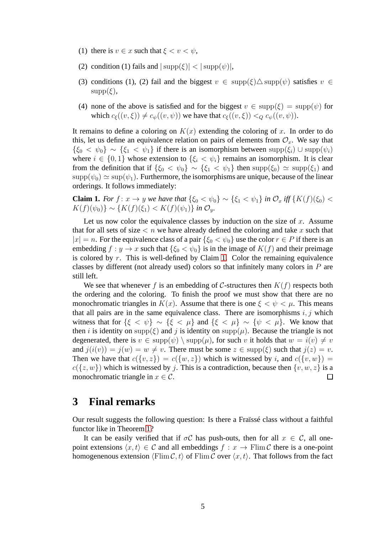- (1) there is  $v \in x$  such that  $\xi < v < \psi$ ,
- (2) condition (1) fails and  $|\text{supp}(\xi)| < |\text{supp}(\psi)|$ ,
- (3) conditions (1), (2) fail and the biggest  $v \in \text{supp}(\xi) \Delta \text{supp}(\psi)$  satisfies  $v \in$  $supp(\xi)$ ,
- (4) none of the above is satisfied and for the biggest  $v \in \text{supp}(\xi) = \text{supp}(\psi)$  for which  $c_{\xi}((v, \xi)) \neq c_{\psi}((v, \psi))$  we have that  $c_{\xi}((v, \xi)) <_{Q} c_{\psi}((v, \psi))$ .

It remains to define a coloring on  $K(x)$  extending the coloring of x. In order to do this, let us define an equivalence relation on pairs of elements from  $\mathcal{O}_x$ . We say that  ${\{\xi_0 < \psi_0\}} \sim {\{\xi_1 < \psi_1\}}$  if there is an isomorphism between  $supp(\xi_i) \cup supp(\psi_i)$ where  $i \in \{0,1\}$  whose extension to  $\{\xi_i < \psi_i\}$  remains an isomorphism. It is clear from the definition that if  $\{\xi_0 < \psi_0\} \sim \{\xi_1 < \psi_1\}$  then supp $(\xi_0) \simeq \text{supp}(\xi_1)$  and  $\text{supp}(\psi_0) \simeq \text{sup}(\psi_1)$ . Furthermore, the isomorphisms are unique, because of the linear orderings. It follows immediately:

<span id="page-4-0"></span>**Claim 1.** *For*  $f: x \to y$  *we have that*  $\{\xi_0 < \psi_0\} \sim \{\xi_1 < \psi_1\}$  *in*  $\mathcal{O}_x$  *iff*  $\{K(f)(\xi_0) < \xi_1\}$  $K(f)(\psi_0)$  ∼ { $K(f)(\xi_1)$  <  $K(f)(\psi_1)$ } *in*  $\mathcal{O}_y$ *.* 

Let us now color the equivalence classes by induction on the size of  $x$ . Assume that for all sets of size  $\lt n$  we have already defined the coloring and take x such that  $|x| = n$ . For the equivalence class of a pair  $\{\xi_0 < \psi_0\}$  use the color  $r \in P$  if there is an embedding  $f : y \to x$  such that  $\{\xi_0 < \psi_0\}$  is in the image of  $K(f)$  and their preimage is colored by  $r$ . This is well-defined by Claim [1.](#page-4-0) Color the remaining equivalence classes by different (not already used) colors so that infinitely many colors in P are still left.

We see that whenever f is an embedding of C-structures then  $K(f)$  respects both the ordering and the coloring. To finish the proof we must show that there are no monochromatic triangles in  $K(x)$ . Assume that there is one  $\xi < \psi < \mu$ . This means that all pairs are in the same equivalence class. There are isomorphisms  $i, j$  which witness that for  $\{\xi < \psi\} \sim \{\xi < \mu\}$  and  $\{\xi < \mu\} \sim \{\psi < \mu\}$ . We know that then i is identity on supp( $\xi$ ) and j is identity on supp( $\mu$ ). Because the triangle is not degenerated, there is  $v \in \text{supp}(\psi) \setminus \text{supp}(\mu)$ , for such v it holds that  $w = i(v) \neq v$ and  $j(i(v)) = j(w) = w \neq v$ . There must be some  $z \in \text{supp}(\xi)$  such that  $j(z) = v$ . Then we have that  $c({v, z}) = c({w, z})$  which is witnessed by i, and  $c({v, w}) = c({w, z})$  $c({z, w})$  which is witnessed by j. This is a contradiction, because then  ${v, w, z}$  is a monochromatic triangle in  $x \in \mathcal{C}$ .  $\Box$ 

#### **3 Final remarks**

Our result suggests the following question: Is there a Fraïssé class without a faithful functor like in Theorem [1?](#page-2-0)

It can be easily verified that if  $\sigma C$  has push-outs, then for all  $x \in C$ , all onepoint extensions  $\langle x, t \rangle \in \mathcal{C}$  and all embeddings  $f : x \to \text{Film } \mathcal{C}$  there is a one-point homogenenous extension  $\langle \text{Flim } C, t \rangle$  of  $\text{Flim } C$  over  $\langle x, t \rangle$ . That follows from the fact